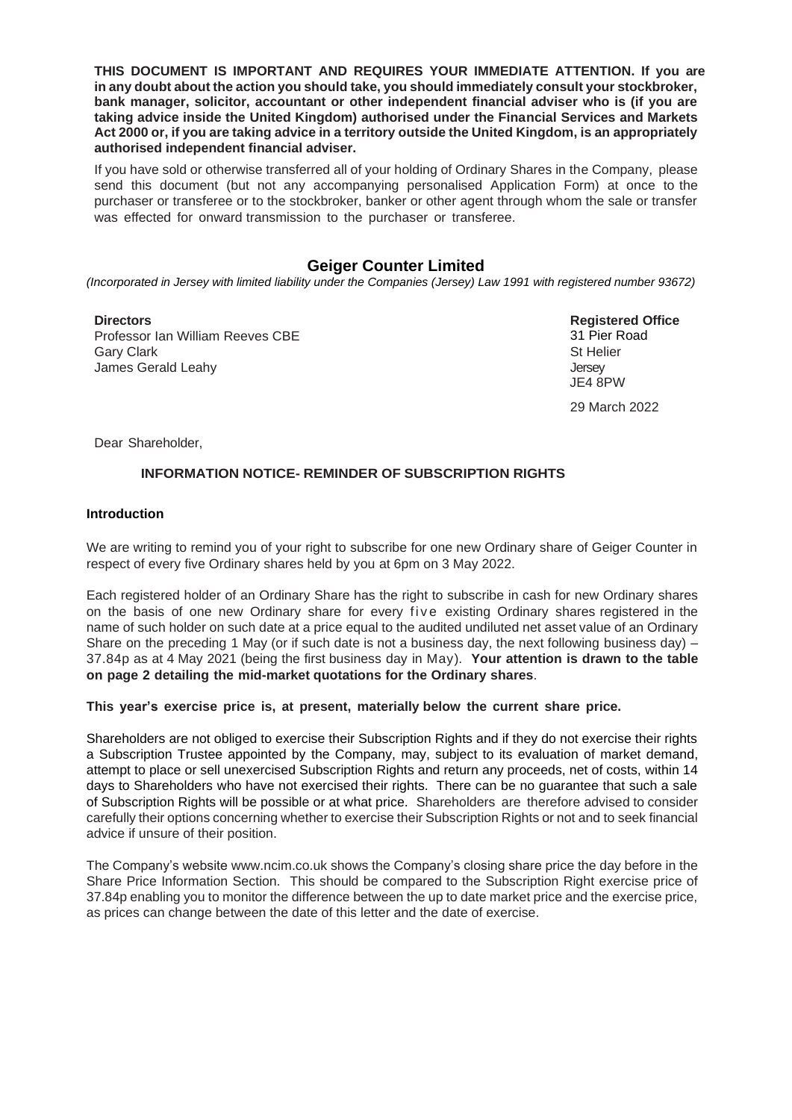**THIS DOCUMENT IS IMPORTANT AND REQUIRES YOUR IMMEDIATE ATTENTION. If you are in any doubt about the action you should take, you should immediately consult your stockbroker, bank manager, solicitor, accountant or other independent financial adviser who is (if you are taking advice inside the United Kingdom) authorised under the Financial Services and Markets Act 2000 or, if you are taking advice in a territory outside the United Kingdom, is an appropriately authorised independent financial adviser.**

If you have sold or otherwise transferred all of your holding of Ordinary Shares in the Company, please send this document (but not any accompanying personalised Application Form) at once to the purchaser or transferee or to the stockbroker, banker or other agent through whom the sale or transfer was effected for onward transmission to the purchaser or transferee.

# **Geiger Counter Limited**

*(Incorporated in Jersey with limited liability under the Companies (Jersey) Law 1991 with registered number 93672)*

**Directors Registered Office** Professor Ian William Reeves CBE Gary Clark James Gerald Leahy

31 Pier Road St Helier **Jersev**  JE4 8PW 29 March 2022

Dear Shareholder,

## **INFORMATION NOTICE- REMINDER OF SUBSCRIPTION RIGHTS**

#### **Introduction**

We are writing to remind you of your right to subscribe for one new Ordinary share of Geiger Counter in respect of every five Ordinary shares held by you at 6pm on 3 May 2022.

Each registered holder of an Ordinary Share has the right to subscribe in cash for new Ordinary shares on the basis of one new Ordinary share for every five existing Ordinary shares registered in the name of such holder on such date at a price equal to the audited undiluted net asset value of an Ordinary Share on the preceding 1 May (or if such date is not a business day, the next following business day) – 37.84p as at 4 May 2021 (being the first business day in May). **Your attention is drawn to the table on page 2 detailing the mid-market quotations for the Ordinary shares**.

#### **This year's exercise price is, at present, materially below the current share price.**

Shareholders are not obliged to exercise their Subscription Rights and if they do not exercise their rights a Subscription Trustee appointed by the Company, may, subject to its evaluation of market demand, attempt to place or sell unexercised Subscription Rights and return any proceeds, net of costs, within 14 days to Shareholders who have not exercised their rights. There can be no guarantee that such a sale of Subscription Rights will be possible or at what price. Shareholders are therefore advised to consider carefully their options concerning whether to exercise their Subscription Rights or not and to seek financial advice if unsure of their position.

The Company's website www.ncim.co.uk shows the Company's closing share price the day before in the Share Price Information Section. This should be compared to the Subscription Right exercise price of 37.84p enabling you to monitor the difference between the up to date market price and the exercise price, as prices can change between the date of this letter and the date of exercise.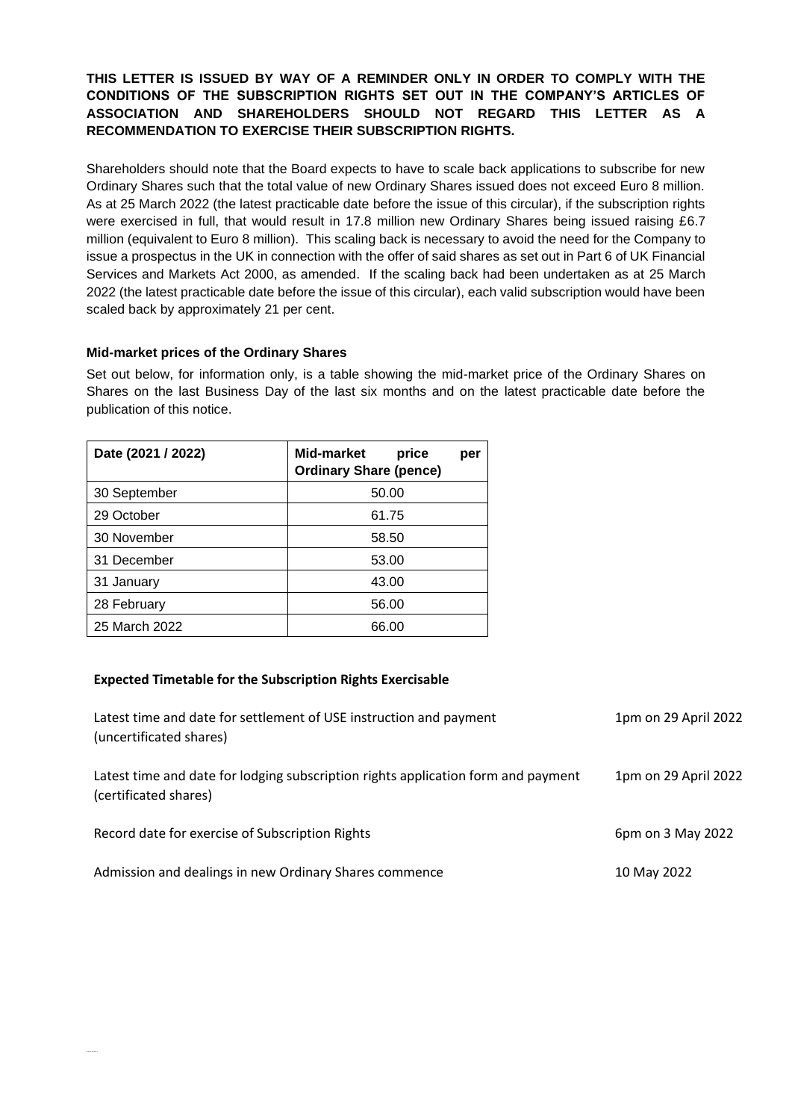**THIS LETTER IS ISSUED BY WAY OF A REMINDER ONLY IN ORDER TO COMPLY WITH THE CONDITIONS OF THE SUBSCRIPTION RIGHTS SET OUT IN THE COMPANY'S ARTICLES OF ASSOCIATION AND SHAREHOLDERS SHOULD NOT REGARD THIS LETTER AS A RECOMMENDATION TO EXERCISE THEIR SUBSCRIPTION RIGHTS.**

Shareholders should note that the Board expects to have to scale back applications to subscribe for new Ordinary Shares such that the total value of new Ordinary Shares issued does not exceed Euro 8 million. As at 25 March 2022 (the latest practicable date before the issue of this circular), if the subscription rights were exercised in full, that would result in 17.8 million new Ordinary Shares being issued raising £6.7 million (equivalent to Euro 8 million). This scaling back is necessary to avoid the need for the Company to issue a prospectus in the UK in connection with the offer of said shares as set out in Part 6 of UK Financial Services and Markets Act 2000, as amended. If the scaling back had been undertaken as at 25 March 2022 (the latest practicable date before the issue of this circular), each valid subscription would have been scaled back by approximately 21 per cent.

#### **Mid-market prices of the Ordinary Shares**

Set out below, for information only, is a table showing the mid-market price of the Ordinary Shares on Shares on the last Business Day of the last six months and on the latest practicable date before the publication of this notice.

| Date (2021 / 2022) | Mid-market<br>price<br>per<br><b>Ordinary Share (pence)</b> |
|--------------------|-------------------------------------------------------------|
| 30 September       | 50.00                                                       |
| 29 October         | 61.75                                                       |
| 30 November        | 58.50                                                       |
| 31 December        | 53.00                                                       |
| 31 January         | 43.00                                                       |
| 28 February        | 56.00                                                       |
| 25 March 2022      | 66.00                                                       |

## **Expected Timetable for the Subscription Rights Exercisable**

| Latest time and date for settlement of USE instruction and payment<br>(uncertificated shares)              | 1pm on 29 April 2022 |
|------------------------------------------------------------------------------------------------------------|----------------------|
| Latest time and date for lodging subscription rights application form and payment<br>(certificated shares) | 1pm on 29 April 2022 |
| Record date for exercise of Subscription Rights                                                            | 6pm on 3 May 2022    |
| Admission and dealings in new Ordinary Shares commence                                                     | 10 May 2022          |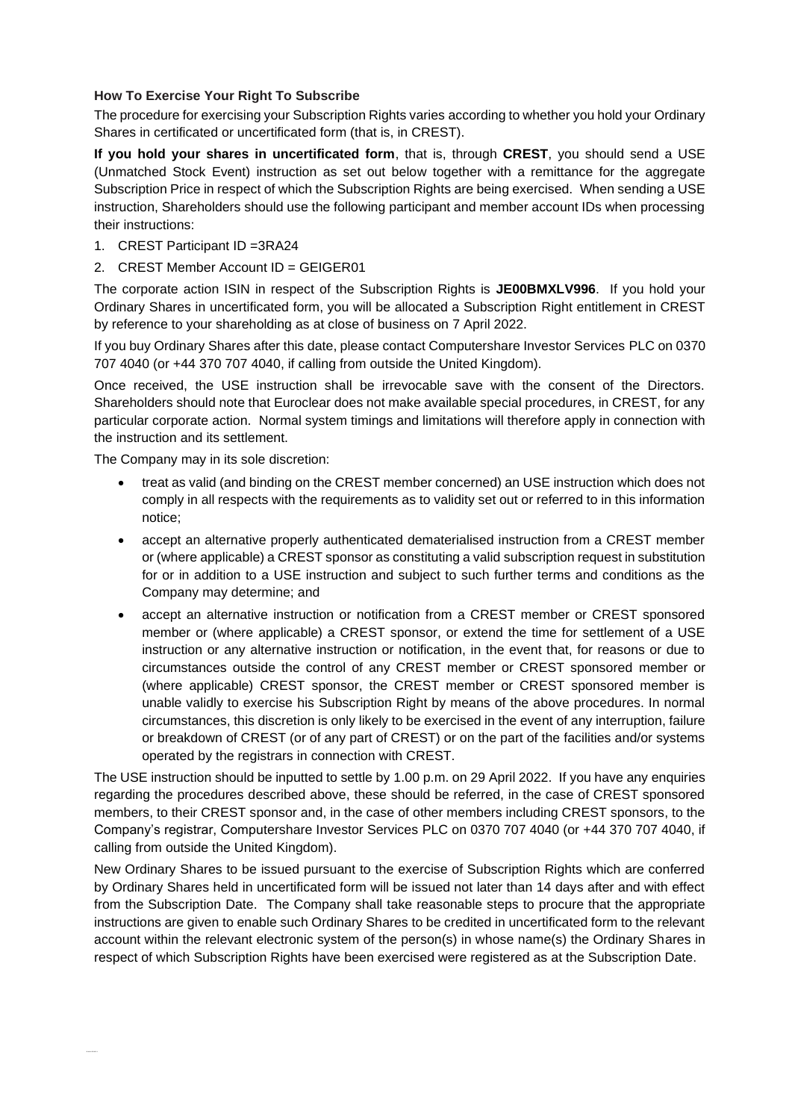### **How To Exercise Your Right To Subscribe**

The procedure for exercising your Subscription Rights varies according to whether you hold your Ordinary Shares in certificated or uncertificated form (that is, in CREST).

**If you hold your shares in uncertificated form**, that is, through **CREST**, you should send a USE (Unmatched Stock Event) instruction as set out below together with a remittance for the aggregate Subscription Price in respect of which the Subscription Rights are being exercised. When sending a USE instruction, Shareholders should use the following participant and member account IDs when processing their instructions:

- 1. CREST Participant ID =3RA24
- 2. CREST Member Account ID = GEIGER01

The corporate action ISIN in respect of the Subscription Rights is **JE00BMXLV996**. If you hold your Ordinary Shares in uncertificated form, you will be allocated a Subscription Right entitlement in CREST by reference to your shareholding as at close of business on 7 April 2022.

If you buy Ordinary Shares after this date, please contact Computershare Investor Services PLC on 0370 707 4040 (or +44 370 707 4040, if calling from outside the United Kingdom).

Once received, the USE instruction shall be irrevocable save with the consent of the Directors. Shareholders should note that Euroclear does not make available special procedures, in CREST, for any particular corporate action. Normal system timings and limitations will therefore apply in connection with the instruction and its settlement.

The Company may in its sole discretion:

- treat as valid (and binding on the CREST member concerned) an USE instruction which does not comply in all respects with the requirements as to validity set out or referred to in this information notice;
- accept an alternative properly authenticated dematerialised instruction from a CREST member or (where applicable) a CREST sponsor as constituting a valid subscription request in substitution for or in addition to a USE instruction and subject to such further terms and conditions as the Company may determine; and
- accept an alternative instruction or notification from a CREST member or CREST sponsored member or (where applicable) a CREST sponsor, or extend the time for settlement of a USE instruction or any alternative instruction or notification, in the event that, for reasons or due to circumstances outside the control of any CREST member or CREST sponsored member or (where applicable) CREST sponsor, the CREST member or CREST sponsored member is unable validly to exercise his Subscription Right by means of the above procedures. In normal circumstances, this discretion is only likely to be exercised in the event of any interruption, failure or breakdown of CREST (or of any part of CREST) or on the part of the facilities and/or systems operated by the registrars in connection with CREST.

The USE instruction should be inputted to settle by 1.00 p.m. on 29 April 2022. If you have any enquiries regarding the procedures described above, these should be referred, in the case of CREST sponsored members, to their CREST sponsor and, in the case of other members including CREST sponsors, to the Company's registrar, Computershare Investor Services PLC on 0370 707 4040 (or +44 370 707 4040, if calling from outside the United Kingdom).

New Ordinary Shares to be issued pursuant to the exercise of Subscription Rights which are conferred by Ordinary Shares held in uncertificated form will be issued not later than 14 days after and with effect from the Subscription Date. The Company shall take reasonable steps to procure that the appropriate instructions are given to enable such Ordinary Shares to be credited in uncertificated form to the relevant account within the relevant electronic system of the person(s) in whose name(s) the Ordinary Shares in respect of which Subscription Rights have been exercised were registered as at the Subscription Date.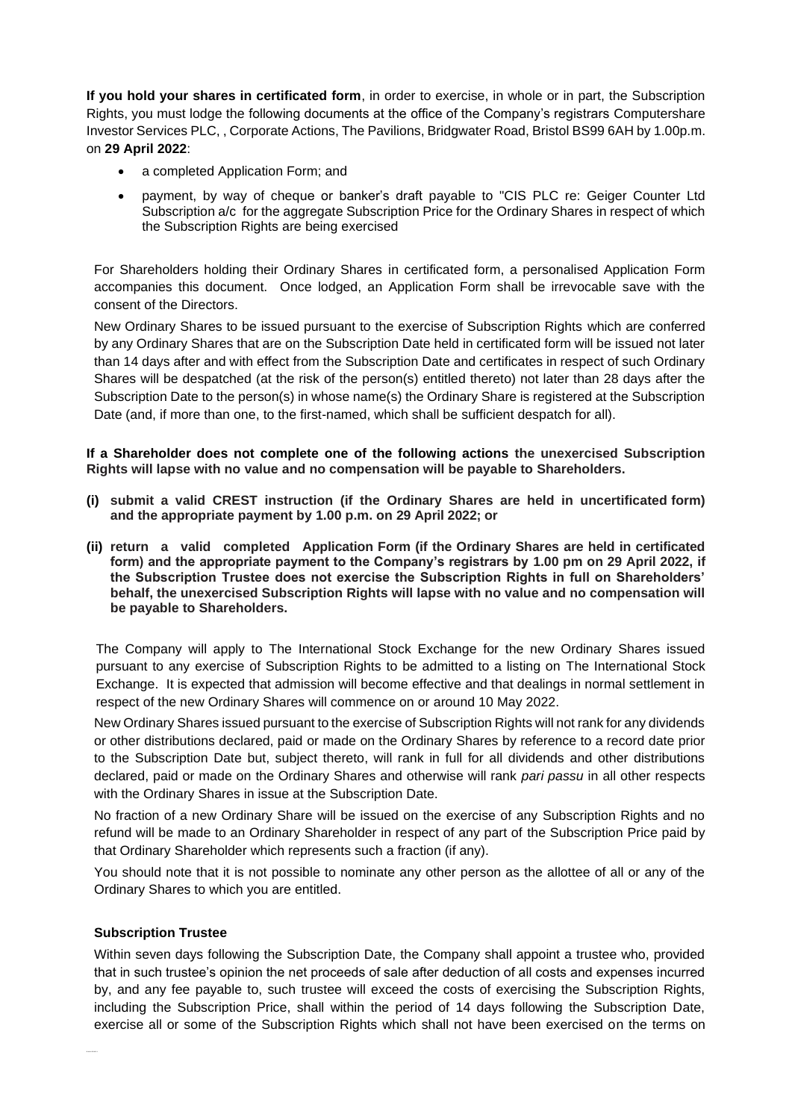**If you hold your shares in certificated form**, in order to exercise, in whole or in part, the Subscription Rights, you must lodge the following documents at the office of the Company's registrars Computershare Investor Services PLC, , Corporate Actions, The Pavilions, Bridgwater Road, Bristol BS99 6AH by 1.00p.m. on **29 April 2022**:

- a completed Application Form; and
- payment, by way of cheque or banker's draft payable to "CIS PLC re: Geiger Counter Ltd Subscription a/c for the aggregate Subscription Price for the Ordinary Shares in respect of which the Subscription Rights are being exercised

For Shareholders holding their Ordinary Shares in certificated form, a personalised Application Form accompanies this document. Once lodged, an Application Form shall be irrevocable save with the consent of the Directors.

New Ordinary Shares to be issued pursuant to the exercise of Subscription Rights which are conferred by any Ordinary Shares that are on the Subscription Date held in certificated form will be issued not later than 14 days after and with effect from the Subscription Date and certificates in respect of such Ordinary Shares will be despatched (at the risk of the person(s) entitled thereto) not later than 28 days after the Subscription Date to the person(s) in whose name(s) the Ordinary Share is registered at the Subscription Date (and, if more than one, to the first-named, which shall be sufficient despatch for all).

### **If a Shareholder does not complete one of the following actions the unexercised Subscription Rights will lapse with no value and no compensation will be payable to Shareholders.**

- **(i) submit a valid CREST instruction (if the Ordinary Shares are held in uncertificated form) and the appropriate payment by 1.00 p.m. on 29 April 2022; or**
- **(ii) return a valid completed Application Form (if the Ordinary Shares are held in certificated form) and the appropriate payment to the Company's registrars by 1.00 pm on 29 April 2022, if the Subscription Trustee does not exercise the Subscription Rights in full on Shareholders' behalf, the unexercised Subscription Rights will lapse with no value and no compensation will be payable to Shareholders.**

The Company will apply to The International Stock Exchange for the new Ordinary Shares issued pursuant to any exercise of Subscription Rights to be admitted to a listing on The International Stock Exchange. It is expected that admission will become effective and that dealings in normal settlement in respect of the new Ordinary Shares will commence on or around 10 May 2022.

New Ordinary Shares issued pursuant to the exercise of Subscription Rights will not rank for any dividends or other distributions declared, paid or made on the Ordinary Shares by reference to a record date prior to the Subscription Date but, subject thereto, will rank in full for all dividends and other distributions declared, paid or made on the Ordinary Shares and otherwise will rank *pari passu* in all other respects with the Ordinary Shares in issue at the Subscription Date.

No fraction of a new Ordinary Share will be issued on the exercise of any Subscription Rights and no refund will be made to an Ordinary Shareholder in respect of any part of the Subscription Price paid by that Ordinary Shareholder which represents such a fraction (if any).

You should note that it is not possible to nominate any other person as the allottee of all or any of the Ordinary Shares to which you are entitled.

#### **Subscription Trustee**

Within seven days following the Subscription Date, the Company shall appoint a trustee who, provided that in such trustee's opinion the net proceeds of sale after deduction of all costs and expenses incurred by, and any fee payable to, such trustee will exceed the costs of exercising the Subscription Rights, including the Subscription Price, shall within the period of 14 days following the Subscription Date, exercise all or some of the Subscription Rights which shall not have been exercised on the terms on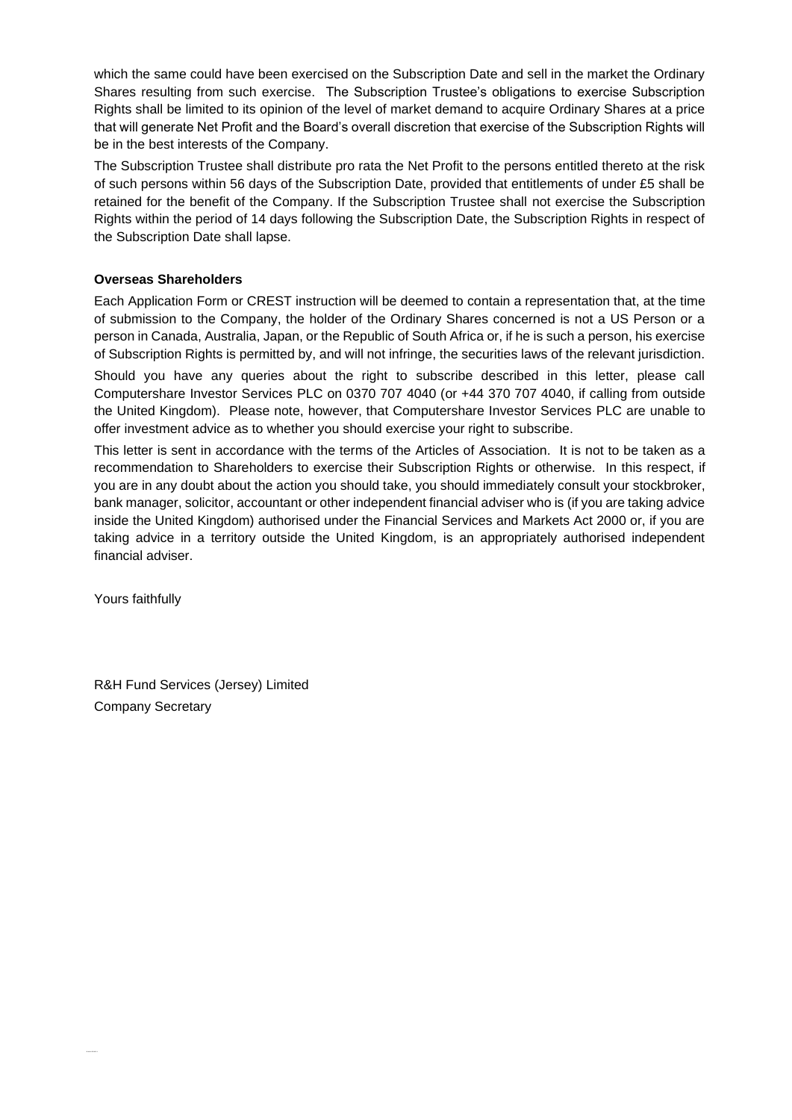which the same could have been exercised on the Subscription Date and sell in the market the Ordinary Shares resulting from such exercise. The Subscription Trustee's obligations to exercise Subscription Rights shall be limited to its opinion of the level of market demand to acquire Ordinary Shares at a price that will generate Net Profit and the Board's overall discretion that exercise of the Subscription Rights will be in the best interests of the Company.

The Subscription Trustee shall distribute pro rata the Net Profit to the persons entitled thereto at the risk of such persons within 56 days of the Subscription Date, provided that entitlements of under £5 shall be retained for the benefit of the Company. If the Subscription Trustee shall not exercise the Subscription Rights within the period of 14 days following the Subscription Date, the Subscription Rights in respect of the Subscription Date shall lapse.

#### **Overseas Shareholders**

Each Application Form or CREST instruction will be deemed to contain a representation that, at the time of submission to the Company, the holder of the Ordinary Shares concerned is not a US Person or a person in Canada, Australia, Japan, or the Republic of South Africa or, if he is such a person, his exercise of Subscription Rights is permitted by, and will not infringe, the securities laws of the relevant jurisdiction. Should you have any queries about the right to subscribe described in this letter, please call Computershare Investor Services PLC on 0370 707 4040 (or +44 370 707 4040, if calling from outside the United Kingdom). Please note, however, that Computershare Investor Services PLC are unable to offer investment advice as to whether you should exercise your right to subscribe.

This letter is sent in accordance with the terms of the Articles of Association. It is not to be taken as a recommendation to Shareholders to exercise their Subscription Rights or otherwise. In this respect, if you are in any doubt about the action you should take, you should immediately consult your stockbroker, bank manager, solicitor, accountant or other independent financial adviser who is (if you are taking advice inside the United Kingdom) authorised under the Financial Services and Markets Act 2000 or, if you are taking advice in a territory outside the United Kingdom, is an appropriately authorised independent financial adviser.

Yours faithfully

R&H Fund Services (Jersey) Limited Company Secretary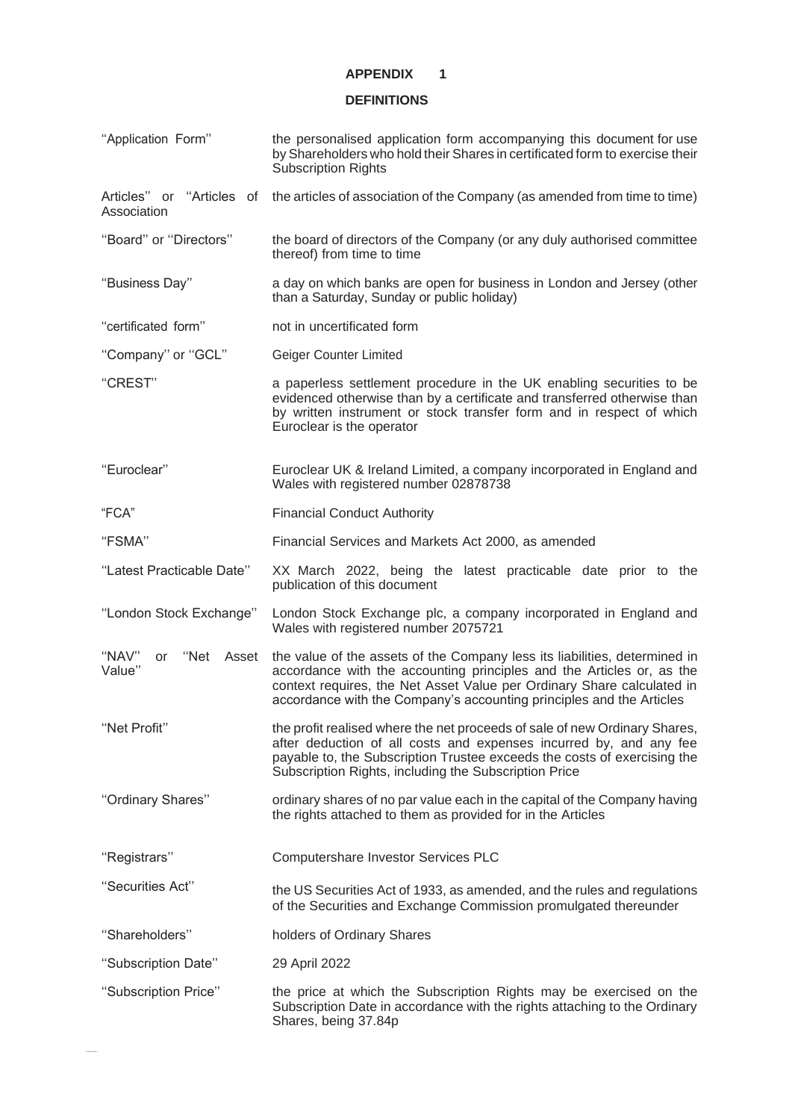## **APPENDIX 1**

## **DEFINITIONS**

| "Application Form"                       | the personalised application form accompanying this document for use<br>by Shareholders who hold their Shares in certificated form to exercise their<br><b>Subscription Rights</b>                                                                                                                               |
|------------------------------------------|------------------------------------------------------------------------------------------------------------------------------------------------------------------------------------------------------------------------------------------------------------------------------------------------------------------|
| Articles" or "Articles of<br>Association | the articles of association of the Company (as amended from time to time)                                                                                                                                                                                                                                        |
| "Board" or "Directors"                   | the board of directors of the Company (or any duly authorised committee<br>thereof) from time to time                                                                                                                                                                                                            |
| "Business Day"                           | a day on which banks are open for business in London and Jersey (other<br>than a Saturday, Sunday or public holiday)                                                                                                                                                                                             |
| "certificated form"                      | not in uncertificated form                                                                                                                                                                                                                                                                                       |
| "Company" or "GCL"                       | Geiger Counter Limited                                                                                                                                                                                                                                                                                           |
| "CREST"                                  | a paperless settlement procedure in the UK enabling securities to be<br>evidenced otherwise than by a certificate and transferred otherwise than<br>by written instrument or stock transfer form and in respect of which<br>Euroclear is the operator                                                            |
| "Euroclear"                              | Euroclear UK & Ireland Limited, a company incorporated in England and<br>Wales with registered number 02878738                                                                                                                                                                                                   |
| "FCA"                                    | <b>Financial Conduct Authority</b>                                                                                                                                                                                                                                                                               |
| "FSMA"                                   | Financial Services and Markets Act 2000, as amended                                                                                                                                                                                                                                                              |
| "Latest Practicable Date"                | XX March 2022, being the latest practicable date prior to the<br>publication of this document                                                                                                                                                                                                                    |
| "London Stock Exchange"                  | London Stock Exchange plc, a company incorporated in England and<br>Wales with registered number 2075721                                                                                                                                                                                                         |
| "NAV"<br>or<br>Value"                    | "Net Asset the value of the assets of the Company less its liabilities, determined in<br>accordance with the accounting principles and the Articles or, as the<br>context requires, the Net Asset Value per Ordinary Share calculated in<br>accordance with the Company's accounting principles and the Articles |
| "Net Profit"                             | the profit realised where the net proceeds of sale of new Ordinary Shares,<br>after deduction of all costs and expenses incurred by, and any fee<br>payable to, the Subscription Trustee exceeds the costs of exercising the<br>Subscription Rights, including the Subscription Price                            |
| "Ordinary Shares"                        | ordinary shares of no par value each in the capital of the Company having<br>the rights attached to them as provided for in the Articles                                                                                                                                                                         |
| "Registrars"                             | Computershare Investor Services PLC                                                                                                                                                                                                                                                                              |
| "Securities Act"                         | the US Securities Act of 1933, as amended, and the rules and regulations<br>of the Securities and Exchange Commission promulgated thereunder                                                                                                                                                                     |
| "Shareholders"                           | holders of Ordinary Shares                                                                                                                                                                                                                                                                                       |
| "Subscription Date"                      | 29 April 2022                                                                                                                                                                                                                                                                                                    |
| "Subscription Price"                     | the price at which the Subscription Rights may be exercised on the<br>Subscription Date in accordance with the rights attaching to the Ordinary<br>Shares, being 37.84p                                                                                                                                          |